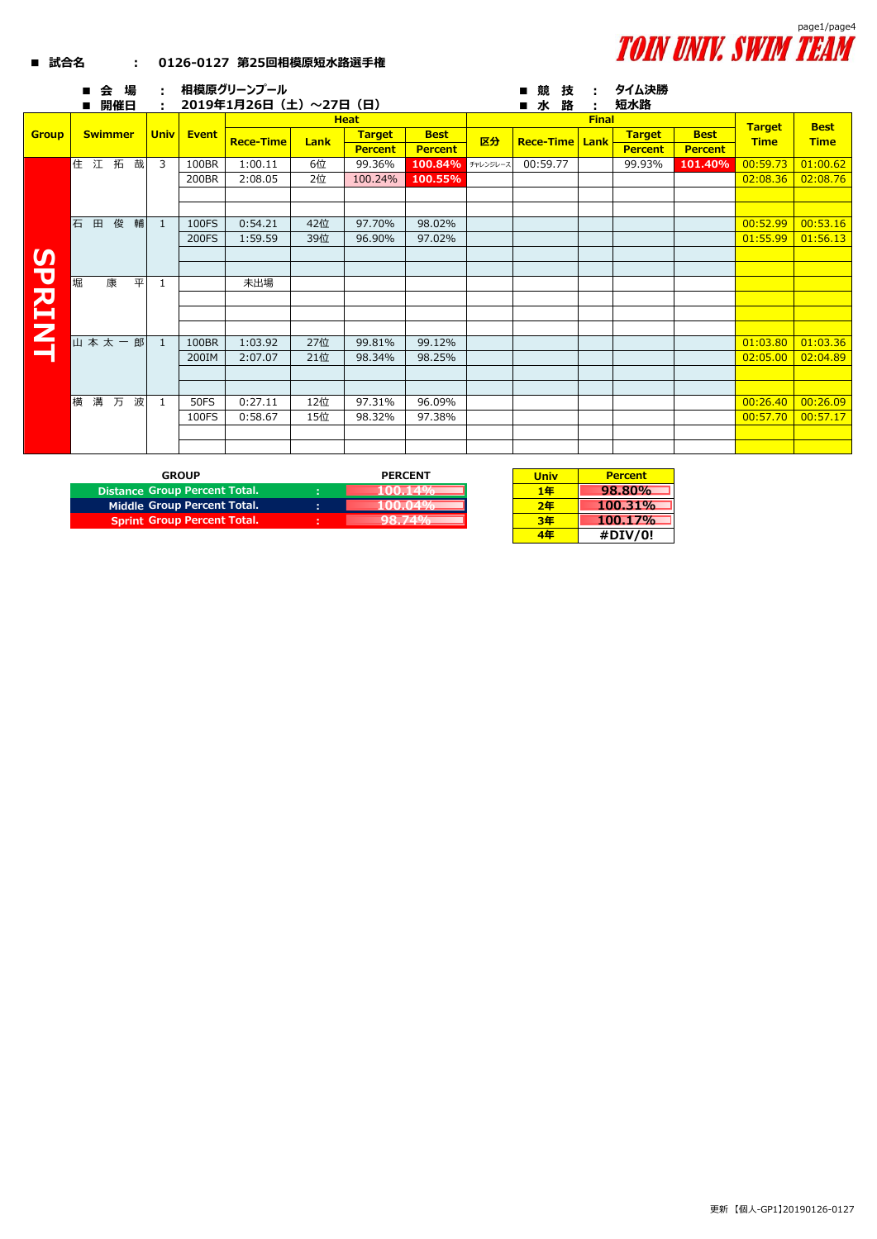## **TOIN UNIV. SWIM TEAM**

## **■ 試合名 : 0126-0127 第25回相模原短水路選手権**

|              | 場<br>会<br>п<br>開催日<br>п | ÷<br>÷       |              | 相模原グリーンプール<br>2019年1月26日(土)~27日(日) |      |                |                | タイム決勝<br>競<br>技<br>÷<br>■水<br>路<br>短水路<br>÷ |                  |      |                |                |                              |             |
|--------------|-------------------------|--------------|--------------|------------------------------------|------|----------------|----------------|---------------------------------------------|------------------|------|----------------|----------------|------------------------------|-------------|
|              |                         |              |              |                                    |      | <b>Heat</b>    |                |                                             |                  |      |                | <b>Best</b>    |                              |             |
| <b>Group</b> | <b>Swimmer</b>          | <b>Univ</b>  | <b>Event</b> | <b>Rece-Time</b>                   | Lank | <b>Target</b>  | <b>Best</b>    | 区分                                          | <b>Rece-Time</b> | Lank | <b>Target</b>  | <b>Best</b>    | <b>Target</b><br><b>Time</b> | <b>Time</b> |
|              |                         |              |              |                                    |      | <b>Percent</b> | <b>Percent</b> |                                             |                  |      | <b>Percent</b> | <b>Percent</b> |                              |             |
|              | 住江拓<br>哉                | 3            | 100BR        | 1:00.11                            | 6位   | 99.36%         | 100.84%        | チャレンジレース                                    | 00:59.77         |      | 99.93%         | 101.40%        | 00:59.73                     | 01:00.62    |
|              |                         |              | 200BR        | 2:08.05                            | 2位   | 100.24%        | 100.55%        |                                             |                  |      |                |                | 02:08.36                     | 02:08.76    |
|              |                         |              |              |                                    |      |                |                |                                             |                  |      |                |                |                              |             |
|              |                         |              |              |                                    |      |                |                |                                             |                  |      |                |                |                              |             |
|              | 石<br>俊<br>田<br>輔        | $\mathbf{1}$ | 100FS        | 0:54.21                            | 42位  | 97.70%         | 98.02%         |                                             |                  |      |                |                | 00:52.99                     | 00:53.16    |
|              |                         |              | 200FS        | 1:59.59                            | 39位  | 96.90%         | 97.02%         |                                             |                  |      |                |                | 01:55.99                     | 01:56.13    |
|              |                         |              |              |                                    |      |                |                |                                             |                  |      |                |                |                              |             |
|              |                         |              |              |                                    |      |                |                |                                             |                  |      |                |                |                              |             |
|              | 堀<br>平<br>康             | 1            |              | 未出場                                |      |                |                |                                             |                  |      |                |                |                              |             |
|              |                         |              |              |                                    |      |                |                |                                             |                  |      |                |                |                              |             |
| SPRINT       |                         |              |              |                                    |      |                |                |                                             |                  |      |                |                |                              |             |
|              |                         |              |              |                                    |      |                |                |                                             |                  |      |                |                |                              |             |
|              | 山本太一郎                   | $\mathbf{1}$ | 100BR        | 1:03.92                            | 27位  | 99.81%         | 99.12%         |                                             |                  |      |                |                | 01:03.80                     | 01:03.36    |
|              |                         |              | 200IM        | 2:07.07                            | 21位  | 98.34%         | 98.25%         |                                             |                  |      |                |                | 02:05.00                     | 02:04.89    |
|              |                         |              |              |                                    |      |                |                |                                             |                  |      |                |                |                              |             |
|              |                         |              |              |                                    |      |                |                |                                             |                  |      |                |                |                              |             |
|              | 横溝<br>万<br>波            | 1            | <b>50FS</b>  | 0:27.11                            | 12位  | 97.31%         | 96.09%         |                                             |                  |      |                |                | 00:26.40                     | 00:26.09    |
|              |                         |              | 100FS        | 0:58.67                            | 15位  | 98.32%         | 97.38%         |                                             |                  |      |                |                | 00:57.70                     | 00:57.17    |
|              |                         |              |              |                                    |      |                |                |                                             |                  |      |                |                |                              |             |
|              |                         |              |              |                                    |      |                |                |                                             |                  |      |                |                |                              |             |

| <b>GROUP</b>                       |        | <b>PERCENT</b> | Unit |
|------------------------------------|--------|----------------|------|
| Distance Group Percent Total.      | ٠      |                | 1 Æ  |
| Middle Group Percent Total.        | ٠<br>٠ |                | 7Æ   |
| <b>Sprint Group Percent Total.</b> | ٠      |                |      |

| Univ | <b>Percent</b> |
|------|----------------|
| 1年   | 98.80%         |
| 2年   | 100.31%        |
| 3年   | 100.17%        |
| 4年   | #DIV/0!        |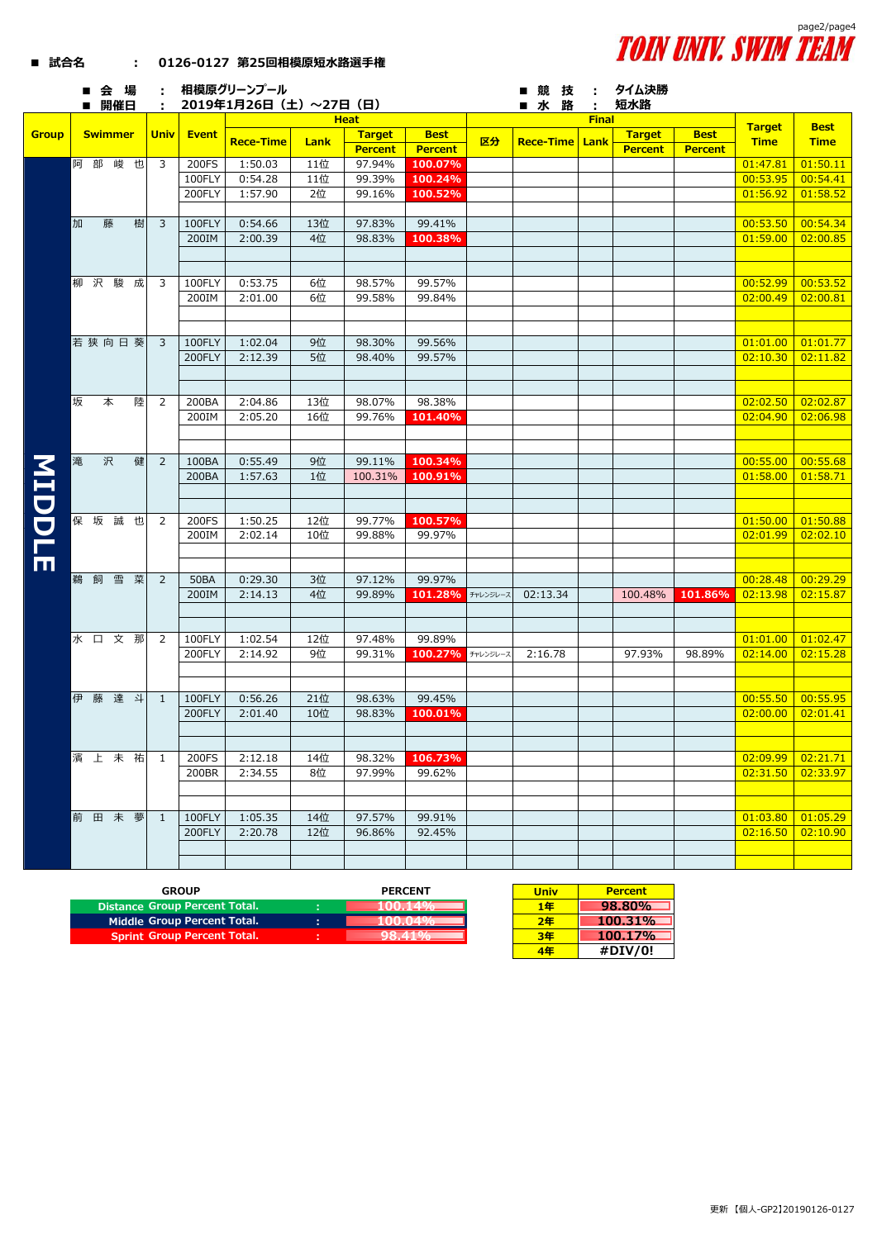

|               |   | ■会場            |   |                |              | 相模原グリーンプール              |      |                                 |                               |          | ■競技                   |              | タイム決勝                           |                               |                     |             |
|---------------|---|----------------|---|----------------|--------------|-------------------------|------|---------------------------------|-------------------------------|----------|-----------------------|--------------|---------------------------------|-------------------------------|---------------------|-------------|
|               |   | ■ 開催日          |   | $\mathbf{L}$   |              | 2019年1月26日 (土) ~27日 (日) |      |                                 |                               |          | ■ 水 路                 |              | 短水路                             |                               |                     |             |
|               |   | <b>Swimmer</b> |   |                |              |                         |      | <b>Heat</b>                     |                               |          |                       | <b>Final</b> |                                 |                               | <b>Target</b>       | <b>Best</b> |
| <b>Group</b>  |   |                |   | <b>Univ</b>    | <b>Event</b> | <b>Rece-Time</b>        | Lank | <b>Target</b><br><b>Percent</b> | <b>Best</b><br><b>Percent</b> | 区分       | <b>Rece-Time Lank</b> |              | <b>Target</b><br><b>Percent</b> | <b>Best</b><br><b>Percent</b> | <b>Time</b>         | <b>Time</b> |
|               |   | 阿部峻也           |   | 3              | 200FS        | 1:50.03                 | 11位  | 97.94%                          | 100.07%                       |          |                       |              |                                 |                               | 01:47.81            | 01:50.11    |
|               |   |                |   |                | 100FLY       | 0:54.28                 | 11位  | 99.39%                          | 100.24%                       |          |                       |              |                                 |                               | 00:53.95            | 00:54.41    |
|               |   |                |   |                | 200FLY       | 1:57.90                 | 2位   | 99.16%                          | 100.52%                       |          |                       |              |                                 |                               | 01:56.92            | 01:58.52    |
|               |   |                |   |                |              |                         |      |                                 |                               |          |                       |              |                                 |                               |                     |             |
|               | 加 | 藤              | 樹 | 3              | 100FLY       | 0:54.66                 | 13位  | 97.83%                          | 99.41%                        |          |                       |              |                                 |                               | 00:53.50            | 00:54.34    |
|               |   |                |   |                | 200IM        | 2:00.39                 | 4位   | 98.83%                          | 100.38%                       |          |                       |              |                                 |                               | 01:59.00            | 02:00.85    |
|               |   |                |   |                |              |                         |      |                                 |                               |          |                       |              |                                 |                               |                     |             |
|               |   |                |   |                |              |                         |      |                                 |                               |          |                       |              |                                 |                               |                     |             |
|               |   | 柳沢駿            | 成 | 3              | 100FLY       | 0:53.75                 | 6位   | 98.57%                          | 99.57%                        |          |                       |              |                                 |                               | 00:52.99            | 00:53.52    |
|               |   |                |   |                | 200IM        | 2:01.00                 | 6位   | 99.58%                          | 99.84%                        |          |                       |              |                                 |                               | 02:00.49            | 02:00.81    |
|               |   |                |   |                |              |                         |      |                                 |                               |          |                       |              |                                 |                               |                     |             |
|               |   |                |   |                |              |                         |      |                                 |                               |          |                       |              |                                 |                               |                     |             |
|               |   | 若狭向日葵          |   | $\overline{3}$ | 100FLY       | 1:02.04                 | 9位   | 98.30%                          | 99.56%                        |          |                       |              |                                 |                               | 01:01.00            | 01:01.77    |
|               |   |                |   |                | 200FLY       | 2:12.39                 | 5位   | 98.40%                          | 99.57%                        |          |                       |              |                                 |                               | 02:10.30            | 02:11.82    |
|               |   |                |   |                |              |                         |      |                                 |                               |          |                       |              |                                 |                               |                     |             |
|               |   |                |   |                |              |                         |      |                                 |                               |          |                       |              |                                 |                               |                     |             |
|               | 坂 | 本              | 陸 | 2              | 200BA        | 2:04.86                 | 13位  | 98.07%                          | 98.38%                        |          |                       |              |                                 |                               | 02:02.50            | 02:02.87    |
|               |   |                |   |                | 200IM        | 2:05.20                 | 16位  | 99.76%                          | 101.40%                       |          |                       |              |                                 |                               | 02:04.90            | 02:06.98    |
|               |   |                |   |                |              |                         |      |                                 |                               |          |                       |              |                                 |                               |                     |             |
|               |   |                |   |                |              |                         |      |                                 |                               |          |                       |              |                                 |                               |                     |             |
| <b>MIDDLE</b> | 滝 | 沢              | 健 | $\overline{2}$ | 100BA        | 0:55.49                 | 9位   | 99.11%                          | 100.34%                       |          |                       |              |                                 |                               | 00:55.00            | 00:55.68    |
|               |   |                |   |                | 200BA        | 1:57.63                 | 1位   | 100.31%                         | 100.91%                       |          |                       |              |                                 |                               | 01:58.00            | 01:58.71    |
|               |   |                |   |                |              |                         |      |                                 |                               |          |                       |              |                                 |                               |                     |             |
|               |   |                |   |                |              |                         |      |                                 |                               |          |                       |              |                                 |                               |                     |             |
|               |   | 保坂誠            | 也 | 2              | 200FS        | 1:50.25                 | 12位  | 99.77%                          | 100.57%                       |          |                       |              |                                 |                               | 01:50.00            | 01:50.88    |
|               |   |                |   |                | 200IM        | 2:02.14                 | 10位  | 99.88%                          | 99.97%                        |          |                       |              |                                 |                               | 02:01.99            | 02:02.10    |
|               |   |                |   |                |              |                         |      |                                 |                               |          |                       |              |                                 |                               |                     |             |
|               |   |                |   |                |              |                         |      |                                 |                               |          |                       |              |                                 |                               |                     |             |
|               |   | 鵜飼雪菜           |   | $\overline{2}$ | <b>50BA</b>  | 0:29.30                 | 3位   | 97.12%                          | 99.97%                        |          |                       |              |                                 |                               | 00:28.48            | 00:29.29    |
|               |   |                |   |                | 200IM        | 2:14.13                 | 4位   | 99.89%                          | 101.28%                       | チャレンジレース | 02:13.34              |              | 100.48%                         | 101.86%                       | 02:13.98            | 02:15.87    |
|               |   |                |   |                |              |                         |      |                                 |                               |          |                       |              |                                 |                               |                     |             |
|               |   |                |   |                |              |                         |      |                                 |                               |          |                       |              |                                 |                               |                     |             |
|               |   | 水口文那           |   | 2              | 100FLY       | 1:02.54                 | 12位  | 97.48%                          | 99.89%                        |          |                       |              | 97.93%                          |                               | 01:01.00            | 01:02.47    |
|               |   |                |   |                | 200FLY       | 2:14.92                 | 9位   | 99.31%                          | 100.27%                       | チャレンジレース | 2:16.78               |              |                                 | 98.89%                        | 02:14.00            | 02:15.28    |
|               |   |                |   |                |              |                         |      |                                 |                               |          |                       |              |                                 |                               |                     |             |
|               |   | 伊藤達斗           |   | $\mathbf{1}$   | 100FLY       | 0:56.26                 | 21位  | 98.63%                          | 99.45%                        |          |                       |              |                                 |                               | 00:55.50            | 00:55.95    |
|               |   |                |   |                | 200FLY       | 2:01.40                 | 10位  | 98.83%                          | 100.01%                       |          |                       |              |                                 |                               | 02:00.00            | 02:01.41    |
|               |   |                |   |                |              |                         |      |                                 |                               |          |                       |              |                                 |                               |                     |             |
|               |   |                |   |                |              |                         |      |                                 |                               |          |                       |              |                                 |                               |                     |             |
|               |   | 濱上未祐           |   | $\overline{1}$ | 200FS        | 2:12.18                 | 14位  | 98.32%                          | 106.73%                       |          |                       |              |                                 |                               | $02:09.99$ 02:21.71 |             |
|               |   |                |   |                | 200BR        | 2:34.55                 | 8位   | 97.99%                          | 99.62%                        |          |                       |              |                                 |                               | $02:31.50$ 02:33.97 |             |
|               |   |                |   |                |              |                         |      |                                 |                               |          |                       |              |                                 |                               |                     |             |
|               |   |                |   |                |              |                         |      |                                 |                               |          |                       |              |                                 |                               |                     |             |
|               |   | 前田未夢           |   | $\overline{1}$ | 100FLY       | 1:05.35                 | 14位  | 97.57%                          | 99.91%                        |          |                       |              |                                 |                               | $01:03.80$ 01:05.29 |             |
|               |   |                |   |                | 200FLY       | 2:20.78                 | 12位  | 96.86%                          | 92.45%                        |          |                       |              |                                 |                               | 02:16.50            | 02:10.90    |
|               |   |                |   |                |              |                         |      |                                 |                               |          |                       |              |                                 |                               |                     |             |
|               |   |                |   |                |              |                         |      |                                 |                               |          |                       |              |                                 |                               |                     |             |

| GROUP                         | <b>PERCENT</b> | Univ | <b>Percent</b>  |
|-------------------------------|----------------|------|-----------------|
| Distance Group Percent Total. |                | 1年   | 98.80%          |
| Middle Group Percent Total.   |                | 2年   | 100.31%         |
| Sprint Group Percent Total.   |                | 3年   | 100.17%         |
|                               |                | - -  | $11 - 21 - 101$ |

 **■ 試合名 : 0126-0127 第25回相模原短水路選手権**

| Univ | <b>Percent</b> |
|------|----------------|
| 1年   | 98.80%         |
| 2年   | 100.31%        |
| 3年   | 100.17%        |
| 4年   | #DIV/0!        |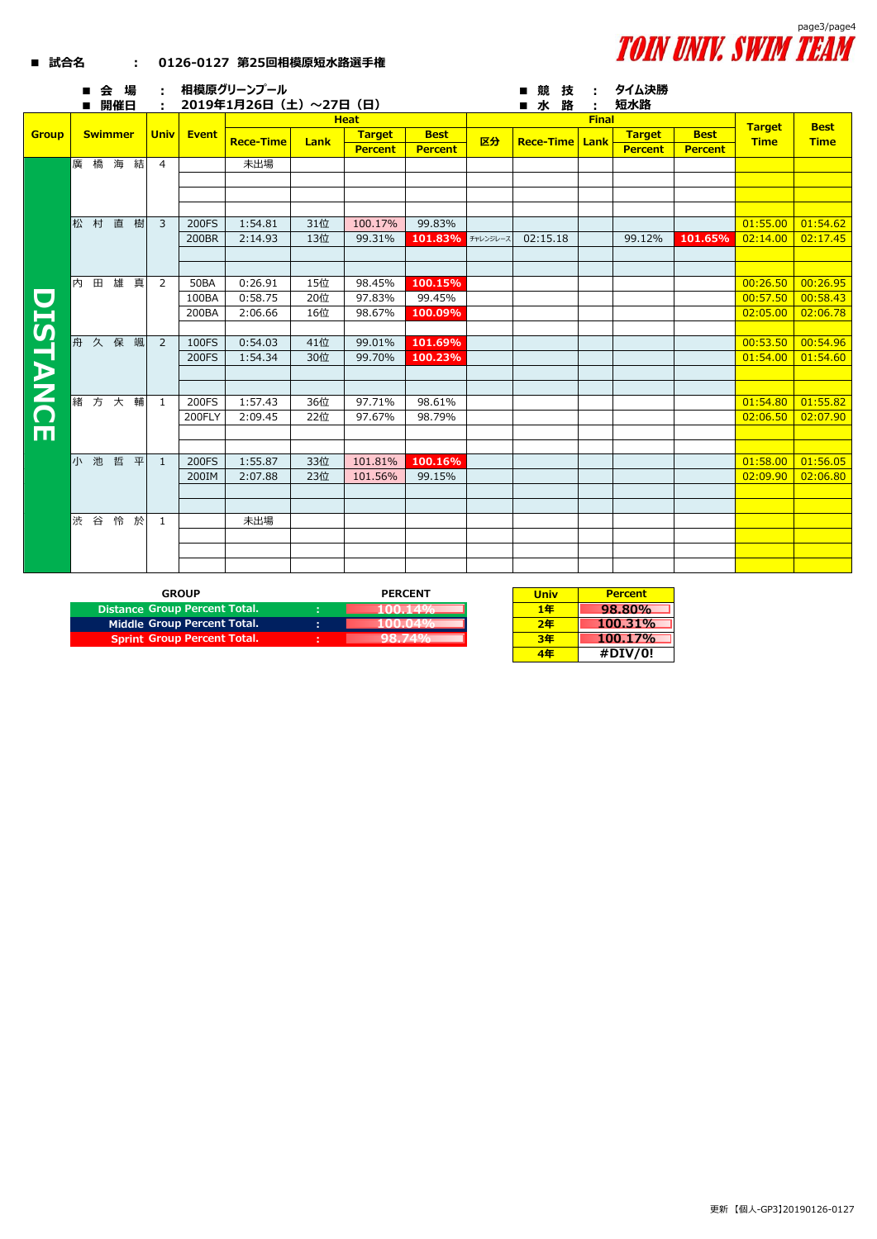

|              |   |              |                |   |                |                      | <b>Heat</b>        |            |                  |                   |    | <b>Final</b>     |      |                              |                |                              | <b>Best</b>          |
|--------------|---|--------------|----------------|---|----------------|----------------------|--------------------|------------|------------------|-------------------|----|------------------|------|------------------------------|----------------|------------------------------|----------------------|
| <b>Group</b> |   |              | <b>Swimmer</b> |   | <b>Univ</b>    | Event                | <b>Rece-Time</b>   | Lank       | <b>Target</b>    | <b>Best</b>       | 区分 | <b>Rece-Time</b> | Lank | <b>Target</b><br><b>Best</b> |                | <b>Target</b><br><b>Time</b> | <b>Time</b>          |
|              |   |              |                |   |                |                      |                    |            | <b>Percent</b>   | <b>Percent</b>    |    |                  |      | <b>Percent</b>               | <b>Percent</b> |                              |                      |
|              |   |              | 廣橋海            | 結 | $\overline{4}$ |                      | 未出場                |            |                  |                   |    |                  |      |                              |                |                              |                      |
|              |   |              |                |   |                |                      |                    |            |                  |                   |    |                  |      |                              |                |                              |                      |
|              |   |              |                |   |                |                      |                    |            |                  |                   |    |                  |      |                              |                |                              |                      |
|              |   |              |                |   |                |                      |                    |            |                  |                   |    |                  |      |                              |                |                              |                      |
|              |   |              | 松村直樹           |   | $\overline{3}$ | 200FS                | 1:54.81            | 31位        | 100.17%          | 99.83%            |    |                  |      |                              |                | 01:55.00                     | 01:54.62             |
|              |   |              |                |   |                | 200BR                | 2:14.93            | 13位        | 99.31%           | 101.83% チャレンジレース  |    | 02:15.18         |      | 99.12%                       | 101.65%        | 02:14.00                     | 02:17.45             |
|              |   |              |                |   |                |                      |                    |            |                  |                   |    |                  |      |                              |                |                              |                      |
|              |   |              |                |   |                |                      |                    |            |                  |                   |    |                  |      |                              |                |                              |                      |
|              | 内 | $\mathbf{H}$ | 雄真             |   | $\overline{2}$ | <b>50BA</b><br>100BA | 0:26.91            | 15位        | 98.45%           | 100.15%<br>99.45% |    |                  |      |                              |                | 00:26.50                     | 00:26.95             |
|              |   |              |                |   |                | 200BA                | 0:58.75<br>2:06.66 | 20位<br>16位 | 97.83%<br>98.67% |                   |    |                  |      |                              |                | 00:57.50<br>02:05.00         | 00:58.43<br>02:06.78 |
|              |   |              |                |   |                |                      |                    |            |                  | 100.09%           |    |                  |      |                              |                |                              |                      |
| DISTANC      | 舟 |              | 久保             | 颯 | 2              | 100FS                | 0:54.03            | 41位        | 99.01%           | 101.69%           |    |                  |      |                              |                | 00:53.50                     | 00:54.96             |
|              |   |              |                |   |                | 200FS                | 1:54.34            | 30位        | 99.70%           | 100.23%           |    |                  |      |                              |                | 01:54.00                     | 01:54.60             |
|              |   |              |                |   |                |                      |                    |            |                  |                   |    |                  |      |                              |                |                              |                      |
|              |   |              |                |   |                |                      |                    |            |                  |                   |    |                  |      |                              |                |                              |                      |
|              |   |              | 緒方大輔           |   | -1             | 200FS                | 1:57.43            | 36位        | 97.71%           | 98.61%            |    |                  |      |                              |                | 01:54.80                     | 01:55.82             |
|              |   |              |                |   |                | 200FLY               | 2:09.45            | 22位        | 97.67%           | 98.79%            |    |                  |      |                              |                | 02:06.50                     | 02:07.90             |
| m            |   |              |                |   |                |                      |                    |            |                  |                   |    |                  |      |                              |                |                              |                      |
|              |   |              |                |   |                |                      |                    |            |                  |                   |    |                  |      |                              |                |                              |                      |
|              |   |              | 小池哲平           |   | $\overline{1}$ | 200FS                | 1:55.87            | 33位        | 101.81%          | 100.16%           |    |                  |      |                              |                | 01:58.00                     | 01:56.05             |
|              |   |              |                |   |                | 200IM                | 2:07.88            | 23位        | 101.56%          | 99.15%            |    |                  |      |                              |                | 02:09.90                     | 02:06.80             |
|              |   |              |                |   |                |                      |                    |            |                  |                   |    |                  |      |                              |                |                              |                      |
|              |   |              |                |   |                |                      |                    |            |                  |                   |    |                  |      |                              |                |                              |                      |
|              |   |              | 渋谷怜於           |   | 1              |                      | 未出場                |            |                  |                   |    |                  |      |                              |                |                              |                      |

| <b>GROUP</b>                  |   | <b>PERCENT</b> | <b>Univ</b> | <b>Percent</b> |
|-------------------------------|---|----------------|-------------|----------------|
| Distance Group Percent Total. |   |                | 1年          | 98.80%         |
| Middle Group Percent Total.   | × |                | 2年          | $100.31\%$     |
| Sprint Group Percent Total.   |   |                | 3年          | 100.17%        |
|                               |   |                | 4年          | #DIV/0!        |

 **■ 試合名 : 0126-0127 第25回相模原短水路選手権**